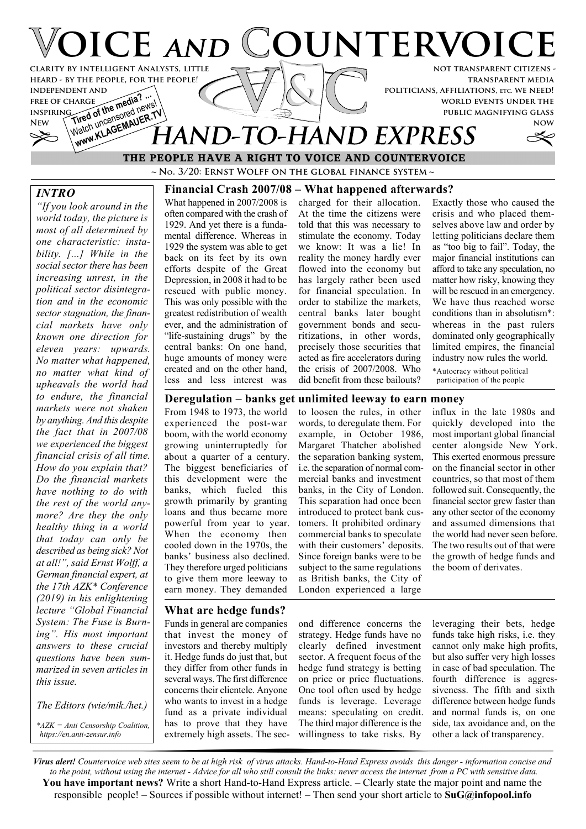# **VOICE AND COUNTERVOICE not transparent citizens clarity by intelligent Analysts, little heard - by the people, for the people!**

**transparent media politicians, affiliations, etc. we need! world events under the public magnifying glass**



# **INDEPENDENT AND<br>FREE OF CHARGE<br>INSPIRING A of the media?** FREE OF CHARGE **the media?** ... Watch uncertain AUER. THAND-TO-HAND EXPRESS

**~ No. 3/20: Ernst Wolff on the global finance system ~ THE PEOPLE HAVE A RIGHT TO VOICE AND COUNTERVOICE**

# *INTRO*

**free of charge inspiring**

*"If you look around in the world today, the picture is most of all determined by one characteristic: instability. [...] While in the social sector there has been increasing unrest, in the political sector disintegration and in the economic sector stagnation, the financial markets have only known one direction for eleven years: upwards. No matter what happened, no matter what kind of upheavals the world had to endure, the financial markets were not shaken by anything. And this despite the fact that in 2007/08 we experienced the biggest financial crisis of all time. How do you explain that? Do the financial markets have nothing to do with the rest of the world anymore? Are they the only healthy thing in a world that today can only be described as being sick? Not at all!", said Ernst Wolff, a German financial expert, at the 17th AZK\* Conference (2019) in his enlightening lecture "Global Financial System: The Fuse is Burning". His most important answers to these crucial questions have been summarized in seven articles in this issue.*

*The Editors (wie/mik./het.)*

*\*AZK = Anti Censorship Coalition, https://en.anti-zensur.info*

#### **Financial Crash 2007/08 – What happened afterwards?** What happened in 2007/2008 is often compared with the crash of 1929. And yet there is a fundamental difference. Whereas in 1929 the system was able to get back on its feet by its own efforts despite of the Great Depression, in 2008 it had to be rescued with public money. This was only possible with the greatest redistribution of wealth ever, and the administration of "life-sustaining drugs" by the central banks: On one hand, huge amounts of money were created and on the other hand, less and less interest was

charged for their allocation. At the time the citizens were told that this was necessary to stimulate the economy. Today we know: It was a lie! In reality the money hardly ever flowed into the economy but has largely rather been used for financial speculation. In order to stabilize the markets, central banks later bought government bonds and securitizations, in other words, precisely those securities that acted as fire accelerators during the crisis of 2007/2008. Who did benefit from these bailouts?

Exactly those who caused the crisis and who placed themselves above law and order by letting politicians declare them as "too big to fail". Today, the major financial institutions can afford to take any speculation, no matter how risky, knowing they will be rescued in an emergency. We have thus reached worse conditions than in absolutism\*: whereas in the past rulers dominated only geographically limited empires, the financial industry now rules the world.

\*Autocracy without political participation of the people

## **Deregulation – banks get unlimited leeway to earn money**

From 1948 to 1973, the world experienced the post-war boom, with the world economy growing uninterruptedly for about a quarter of a century. The biggest beneficiaries of this development were the banks, which fueled this growth primarily by granting loans and thus became more powerful from year to year. When the economy then cooled down in the 1970s, the banks' business also declined. They therefore urged politicians to give them more leeway to earn money. They demanded

**What are hedge funds?** Funds in general are companies that invest the money of investors and thereby multiply it. Hedge funds do just that, but they differ from other funds in several ways. The first difference concerns their clientele. Anyone who wants to invest in a hedge fund as a private individual has to prove that they have extremely high assets. The sec-

#### to loosen the rules, in other words, to deregulate them. For example, in October 1986, Margaret Thatcher abolished the separation banking system, i.e. the separation of normal commercial banks and investment banks, in the City of London. This separation had once been introduced to protect bank customers. It prohibited ordinary commercial banks to speculate with their customers' deposits. Since foreign banks were to be subject to the same regulations as British banks, the City of London experienced a large

ond difference concerns the strategy. Hedge funds have no clearly defined investment sector. A frequent focus of the hedge fund strategy is betting on price or price fluctuations. One tool often used by hedge funds is leverage. Leverage means: speculating on credit. The third major difference is the willingness to take risks. By

influx in the late 1980s and quickly developed into the most important global financial center alongside New York. This exerted enormous pressure on the financial sector in other countries, so that most of them followed suit. Consequently, the financial sector grew faster than any other sector of the economy and assumed dimensions that the world had never seen before. The two results out of that were the growth of hedge funds and the boom of derivates.

leveraging their bets, hedge funds take high risks, i.e. they cannot only make high profits, but also suffer very high losses in case of bad speculation. The fourth difference is aggressiveness. The fifth and sixth difference between hedge funds and normal funds is, on one side, tax avoidance and, on the other a lack of transparency.

*Virus alert! Countervoice web sites seem to be at high risk of virus attacks. Hand-to-Hand Express avoids this danger - information concise and to the point, without using the internet - Advice for all who still consult the links: never access the internet from a PC with sensitive data.* **You have important news?** Write a short Hand-to-Hand Express article. – Clearly state the major point and name the responsible people! – Sources if possible without internet! – Then send your short article to **SuG@infopool.info**